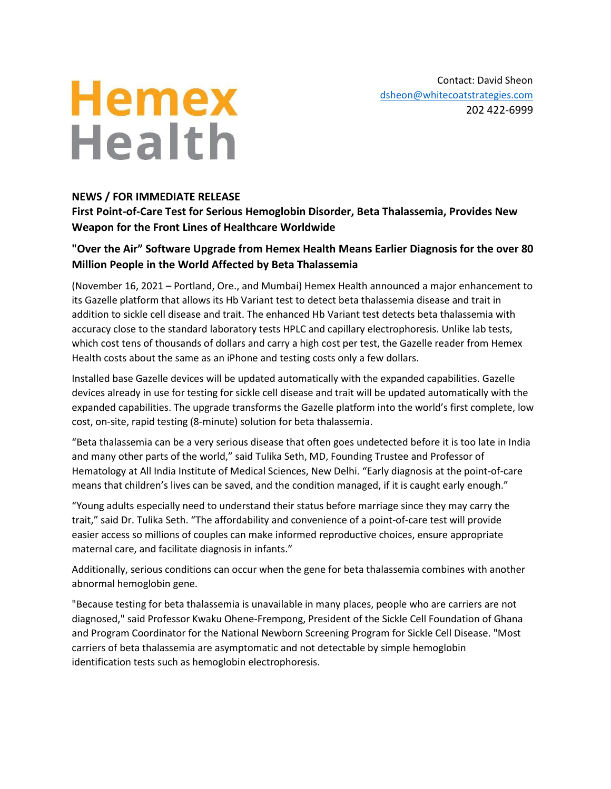# **Hemex Health**

Contact: David Sheon [dsheon@whitecoatstrategies.com](mailto:dsheon@whitecoatstrategies.com) 202 422-6999

## **NEWS / FOR IMMEDIATE RELEASE**

**First Point-of-Care Test for Serious Hemoglobin Disorder, Beta Thalassemia, Provides New Weapon for the Front Lines of Healthcare Worldwide** 

## **"Over the Air" Software Upgrade from Hemex Health Means Earlier Diagnosis for the over 80 Million People in the World Affected by Beta Thalassemia**

(November 16, 2021 – Portland, Ore., and Mumbai) Hemex Health announced a major enhancement to its Gazelle platform that allows its Hb Variant test to detect beta thalassemia disease and trait in addition to sickle cell disease and trait. The enhanced Hb Variant test detects beta thalassemia with accuracy close to the standard laboratory tests HPLC and capillary electrophoresis. Unlike lab tests, which cost tens of thousands of dollars and carry a high cost per test, the Gazelle reader from Hemex Health costs about the same as an iPhone and testing costs only a few dollars.

Installed base Gazelle devices will be updated automatically with the expanded capabilities. Gazelle devices already in use for testing for sickle cell disease and trait will be updated automatically with the expanded capabilities. The upgrade transforms the Gazelle platform into the world's first complete, low cost, on-site, rapid testing (8-minute) solution for beta thalassemia.

"Beta thalassemia can be a very serious disease that often goes undetected before it is too late in India and many other parts of the world," said Tulika Seth, MD, Founding Trustee and Professor of Hematology at All India Institute of Medical Sciences, New Delhi. "Early diagnosis at the point-of-care means that children's lives can be saved, and the condition managed, if it is caught early enough."

"Young adults especially need to understand their status before marriage since they may carry the trait," said Dr. Tulika Seth. "The affordability and convenience of a point-of-care test will provide easier access so millions of couples can make informed reproductive choices, ensure appropriate maternal care, and facilitate diagnosis in infants."

Additionally, serious conditions can occur when the gene for beta thalassemia combines with another abnormal hemoglobin gene.

"Because testing for beta thalassemia is unavailable in many places, people who are carriers are not diagnosed," said Professor Kwaku Ohene-Frempong, President of the Sickle Cell Foundation of Ghana and Program Coordinator for the National Newborn Screening Program for Sickle Cell Disease. "Most carriers of beta thalassemia are asymptomatic and not detectable by simple hemoglobin identification tests such as hemoglobin electrophoresis.